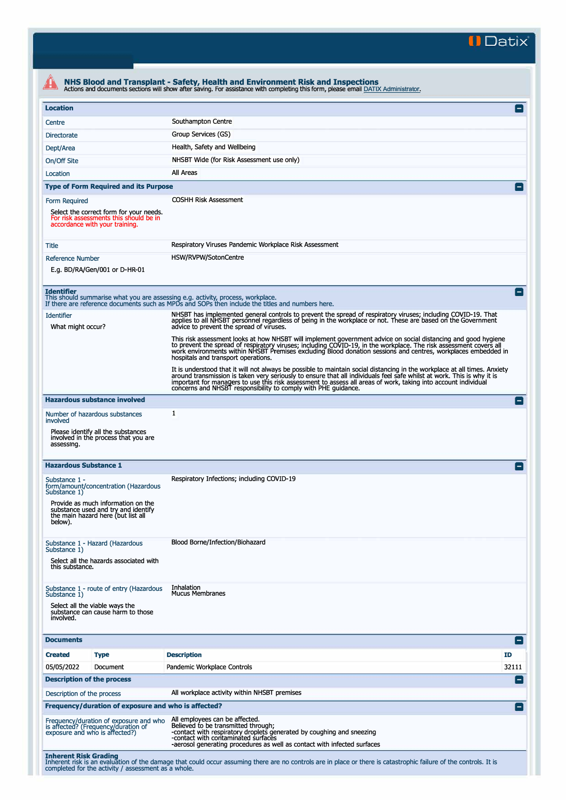**II Datix"** 

|                                                                                                                            | Actions and documents sections will show after saving. For assistance with completing this form, please email DATIX Administrator.                                                                                                                                                                                                                                                                                                      |                 |
|----------------------------------------------------------------------------------------------------------------------------|-----------------------------------------------------------------------------------------------------------------------------------------------------------------------------------------------------------------------------------------------------------------------------------------------------------------------------------------------------------------------------------------------------------------------------------------|-----------------|
| <b>Location</b>                                                                                                            |                                                                                                                                                                                                                                                                                                                                                                                                                                         | E               |
| Centre                                                                                                                     | Southampton Centre                                                                                                                                                                                                                                                                                                                                                                                                                      |                 |
| Directorate                                                                                                                | Group Services (GS)                                                                                                                                                                                                                                                                                                                                                                                                                     |                 |
| Dept/Area                                                                                                                  | Health, Safety and Wellbeing                                                                                                                                                                                                                                                                                                                                                                                                            |                 |
| On/Off Site                                                                                                                | NHSBT Wide (for Risk Assessment use only)                                                                                                                                                                                                                                                                                                                                                                                               |                 |
| Location                                                                                                                   | All Areas                                                                                                                                                                                                                                                                                                                                                                                                                               |                 |
| <b>Type of Form Required and its Purpose</b>                                                                               |                                                                                                                                                                                                                                                                                                                                                                                                                                         |                 |
| Form Required                                                                                                              | <b>COSHH Risk Assessment</b>                                                                                                                                                                                                                                                                                                                                                                                                            |                 |
| Select the correct form for your needs.<br>For risk assessments this should be in<br>accordance with your training.        |                                                                                                                                                                                                                                                                                                                                                                                                                                         |                 |
| Title                                                                                                                      | Respiratory Viruses Pandemic Workplace Risk Assessment                                                                                                                                                                                                                                                                                                                                                                                  |                 |
| Reference Number                                                                                                           | HSW/RVPW/SotonCentre                                                                                                                                                                                                                                                                                                                                                                                                                    |                 |
| E.g. BD/RA/Gen/001 or D-HR-01                                                                                              |                                                                                                                                                                                                                                                                                                                                                                                                                                         |                 |
| <b>Identifier</b><br>This should summarise what you are assessing e.g. activity, process, workplace.                       | If there are reference documents such as MPDs and SOPs then include the titles and numbers here.                                                                                                                                                                                                                                                                                                                                        |                 |
| <b>Identifier</b><br>What might occur?                                                                                     | NHSBT has implemented general controls to prevent the spread of respiratory viruses; including COVID-19. That<br>applies to all NHSBT personnel regardless of being in the workplace or not. These are based on the Government<br>advice to prevent the spread of viruses.                                                                                                                                                              |                 |
|                                                                                                                            | This risk assessment looks at how NHSBT will implement government advice on social distancing and good hygiene<br>to prevent the spread of respiratory viruses; including COVID-19, in the workplace. The risk assessment covers all<br>work environments within NHSBT Premises excluding Blood donation sessions and centres, workplaces embedded in<br>hospitals and transport operations.                                            |                 |
|                                                                                                                            | It is understood that it will not always be possible to maintain social distancing in the workplace at all times. Anxiety<br>around transmission is taken very seriously to ensure that all individuals feel safe whilst at work. This is why it is<br>important for managers to use this risk assessment to assess all areas of work, taking into account individual<br>concerns and NHSBT responsibility to comply with PHE guidance. |                 |
| <b>Hazardous substance involved</b>                                                                                        |                                                                                                                                                                                                                                                                                                                                                                                                                                         | l –             |
| Number of hazardous substances<br>involved                                                                                 | 1                                                                                                                                                                                                                                                                                                                                                                                                                                       |                 |
| Please identify all the substances<br>involved in the process that you are<br>assessing.                                   |                                                                                                                                                                                                                                                                                                                                                                                                                                         |                 |
| <b>Hazardous Substance 1</b>                                                                                               |                                                                                                                                                                                                                                                                                                                                                                                                                                         |                 |
| Substance 1 -<br>form/amount/concentration (Hazardous<br>Substance 1)                                                      | Respiratory Infections; including COVID-19                                                                                                                                                                                                                                                                                                                                                                                              |                 |
| Provide as much information on the<br>substance used and try and identify<br>the main hazard here (but list all<br>below). |                                                                                                                                                                                                                                                                                                                                                                                                                                         |                 |
| Substance 1 - Hazard (Hazardous<br>Substance 1)                                                                            | Blood Borne/Infection/Biohazard                                                                                                                                                                                                                                                                                                                                                                                                         |                 |
| Select all the hazards associated with<br>this substance.                                                                  |                                                                                                                                                                                                                                                                                                                                                                                                                                         |                 |
| Substance 1 - route of entry (Hazardous                                                                                    | Inhalation                                                                                                                                                                                                                                                                                                                                                                                                                              |                 |
| Substance 1)                                                                                                               | <b>Mucus Membranes</b>                                                                                                                                                                                                                                                                                                                                                                                                                  |                 |
| Select all the viable ways the<br>substance can cause harm to those<br>involved.                                           |                                                                                                                                                                                                                                                                                                                                                                                                                                         |                 |
|                                                                                                                            |                                                                                                                                                                                                                                                                                                                                                                                                                                         |                 |
| <b>Documents</b>                                                                                                           |                                                                                                                                                                                                                                                                                                                                                                                                                                         | $\vert - \vert$ |
| <b>Created</b><br><b>Type</b>                                                                                              | <b>Description</b><br>ID                                                                                                                                                                                                                                                                                                                                                                                                                |                 |
| 05/05/2022<br>Document                                                                                                     | Pandemic Workplace Controls                                                                                                                                                                                                                                                                                                                                                                                                             | 32111           |
| <b>Description of the process</b>                                                                                          |                                                                                                                                                                                                                                                                                                                                                                                                                                         | $\vert - \vert$ |
| Description of the process                                                                                                 | All workplace activity within NHSBT premises                                                                                                                                                                                                                                                                                                                                                                                            |                 |
| Frequency/duration of exposure and who is affected?                                                                        |                                                                                                                                                                                                                                                                                                                                                                                                                                         | E               |
| Frequency/duration of exposure and who<br>is affected? (Frequency/duration of<br>exposure and who is affected?)            | All employees can be affected.<br>Believed to be transmitted through;<br>-contact with respiratory droplets generated by coughing and sneezing<br>-contact with contaminated surfaces<br>-aerosol generating procedures as well as contact with infected surfaces                                                                                                                                                                       |                 |
| <b>Inherent Risk Grading</b><br>completed for the activity / assessment as a whole.                                        | Inherent risk is an evaluation of the damage that could occur assuming there are no controls are in place or there is catastrophic failure of the controls. It is                                                                                                                                                                                                                                                                       |                 |